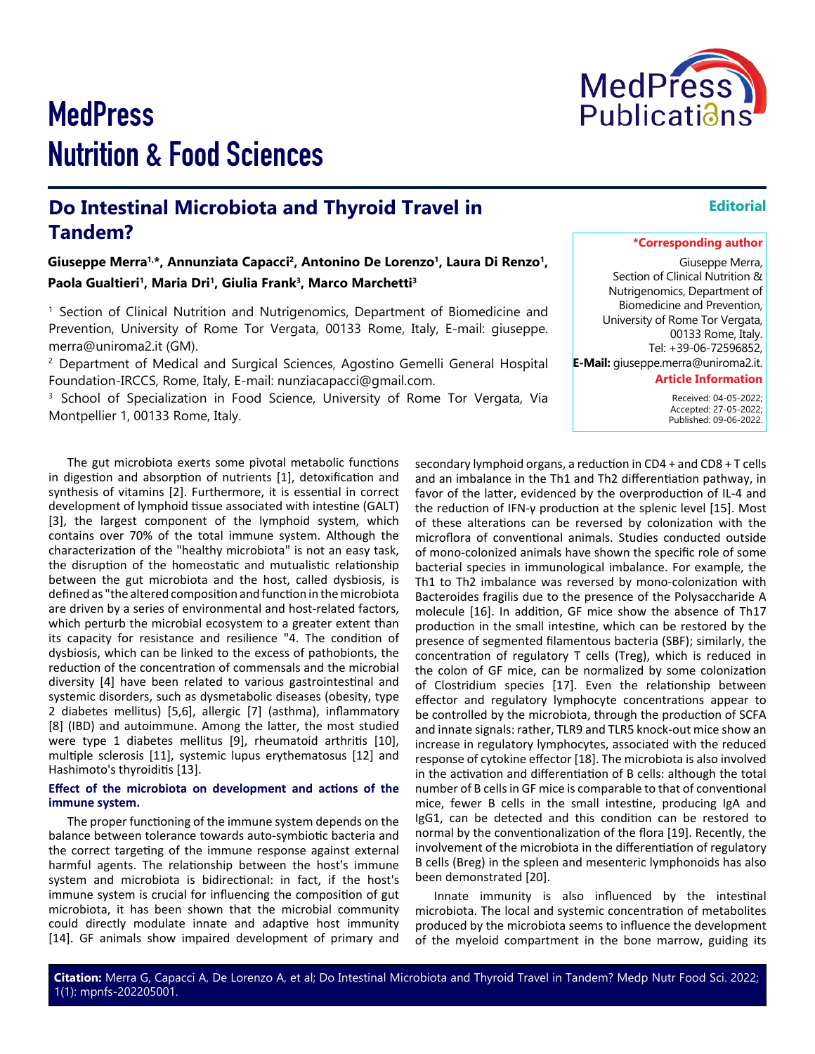been demonstrated [20].

# **MedPress** Nutrition & Food Sciences

## **Do Intestinal Microbiota and Thyroid Travel in Tandem?**

Giuseppe Merra<sup>1,\*</sup>, Annunziata Capacci<sup>2</sup>, Antonino De Lorenzo<sup>1</sup>, Laura Di Renzo<sup>1</sup>, Paola Gualtieri<sup>1</sup>, Maria Dri<sup>1</sup>, Giulia Frank<sup>3</sup>, Marco Marchetti<sup>3</sup>

1 Section of Clinical Nutrition and Nutrigenomics, Department of Biomedicine and Prevention, University of Rome Tor Vergata, 00133 Rome, Italy, E-mail: giuseppe. merra@uniroma2.it (GM).

<sup>2</sup> Department of Medical and Surgical Sciences, Agostino Gemelli General Hospital Foundation-IRCCS, Rome, Italy, E-mail: nunziacapacci@gmail.com.

<sup>3</sup> School of Specialization in Food Science, University of Rome Tor Vergata, Via Montpellier 1, 00133 Rome, Italy.

The gut microbiota exerts some pivotal metabolic functions in digestion and absorption of nutrients [1], detoxification and synthesis of vitamins [2]. Furthermore, it is essential in correct development of lymphoid tissue associated with intestine (GALT) [3], the largest component of the lymphoid system, which contains over 70% of the total immune system. Although the characterization of the "healthy microbiota" is not an easy task, the disruption of the homeostatic and mutualistic relationship between the gut microbiota and the host, called dysbiosis, is defined as "the altered composition and function in the microbiota are driven by a series of environmental and host-related factors, which perturb the microbial ecosystem to a greater extent than its capacity for resistance and resilience "4. The condition of dysbiosis, which can be linked to the excess of pathobionts, the reduction of the concentration of commensals and the microbial diversity [4] have been related to various gastrointestinal and systemic disorders, such as dysmetabolic diseases (obesity, type 2 diabetes mellitus) [5,6], allergic [7] (asthma), inflammatory [8] (IBD) and autoimmune. Among the latter, the most studied were type 1 diabetes mellitus [9], rheumatoid arthritis [10], multiple sclerosis [11], systemic lupus erythematosus [12] and Hashimoto's thyroiditis [13].

### **Effect of the microbiota on development and actions of the immune system.**

The proper functioning of the immune system depends on the balance between tolerance towards auto-symbiotic bacteria and the correct targeting of the immune response against external harmful agents. The relationship between the host's immune system and microbiota is bidirectional: in fact, if the host's immune system is crucial for influencing the composition of gut microbiota, it has been shown that the microbial community could directly modulate innate and adaptive host immunity [14]. GF animals show impaired development of primary and

secondary lymphoid organs, a reduction in CD4 + and CD8 + T cells and an imbalance in the Th1 and Th2 differentiation pathway, in favor of the latter, evidenced by the overproduction of IL-4 and the reduction of IFN-γ production at the splenic level [15]. Most of these alterations can be reversed by colonization with the microflora of conventional animals. Studies conducted outside of mono-colonized animals have shown the specific role of some bacterial species in immunological imbalance. For example, the Th1 to Th2 imbalance was reversed by mono-colonization with Bacteroides fragilis due to the presence of the Polysaccharide A molecule [16]. In addition, GF mice show the absence of Th17 production in the small intestine, which can be restored by the presence of segmented filamentous bacteria (SBF); similarly, the concentration of regulatory T cells (Treg), which is reduced in the colon of GF mice, can be normalized by some colonization of Clostridium species [17]. Even the relationship between effector and regulatory lymphocyte concentrations appear to be controlled by the microbiota, through the production of SCFA and innate signals: rather, TLR9 and TLR5 knock-out mice show an increase in regulatory lymphocytes, associated with the reduced response of cytokine effector [18]. The microbiota is also involved in the activation and differentiation of B cells: although the total number of B cells in GF mice is comparable to that of conventional mice, fewer B cells in the small intestine, producing IgA and IgG1, can be detected and this condition can be restored to normal by the conventionalization of the flora [19]. Recently, the involvement of the microbiota in the differentiation of regulatory B cells (Breg) in the spleen and mesenteric lymphonoids has also

Innate immunity is also influenced by the intestinal microbiota. The local and systemic concentration of metabolites produced by the microbiota seems to influence the development of the myeloid compartment in the bone marrow, guiding its

### **\*Corresponding author**

**Editorial**

Giuseppe Merra, Section of Clinical Nutrition & Nutrigenomics, Department of Biomedicine and Prevention, University of Rome Tor Vergata, 00133 Rome, Italy. Tel: +39-06-72596852, **E-Mail:** giuseppe.merra@uniroma2.it. **Article Information**

> Received: 04-05-2022; Accepted: 27-05-2022; Published: 09-06-2022.

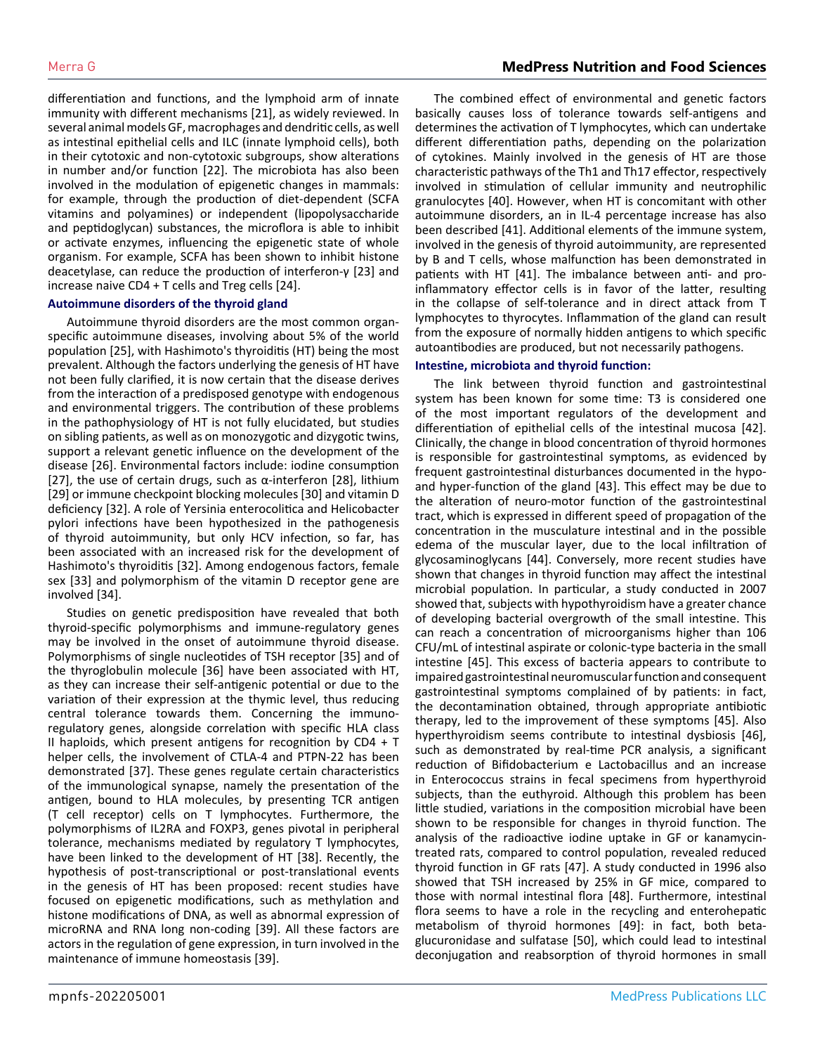differentiation and functions, and the lymphoid arm of innate immunity with different mechanisms [21], as widely reviewed. In several animal models GF, macrophages and dendritic cells, as well as intestinal epithelial cells and ILC (innate lymphoid cells), both in their cytotoxic and non-cytotoxic subgroups, show alterations in number and/or function [22]. The microbiota has also been involved in the modulation of epigenetic changes in mammals: for example, through the production of diet-dependent (SCFA vitamins and polyamines) or independent (lipopolysaccharide and peptidoglycan) substances, the microflora is able to inhibit or activate enzymes, influencing the epigenetic state of whole organism. For example, SCFA has been shown to inhibit histone deacetylase, can reduce the production of interferon-γ [23] and increase naive CD4 + T cells and Treg cells [24].

### **Autoimmune disorders of the thyroid gland**

Autoimmune thyroid disorders are the most common organspecific autoimmune diseases, involving about 5% of the world population [25], with Hashimoto's thyroiditis (HT) being the most prevalent. Although the factors underlying the genesis of HT have not been fully clarified, it is now certain that the disease derives from the interaction of a predisposed genotype with endogenous and environmental triggers. The contribution of these problems in the pathophysiology of HT is not fully elucidated, but studies on sibling patients, as well as on monozygotic and dizygotic twins, support a relevant genetic influence on the development of the disease [26]. Environmental factors include: iodine consumption [27], the use of certain drugs, such as α-interferon [28], lithium [29] or immune checkpoint blocking molecules [30] and vitamin D deficiency [32]. A role of Yersinia enterocolitica and Helicobacter pylori infections have been hypothesized in the pathogenesis of thyroid autoimmunity, but only HCV infection, so far, has been associated with an increased risk for the development of Hashimoto's thyroiditis [32]. Among endogenous factors, female sex [33] and polymorphism of the vitamin D receptor gene are involved [34].

Studies on genetic predisposition have revealed that both thyroid-specific polymorphisms and immune-regulatory genes may be involved in the onset of autoimmune thyroid disease. Polymorphisms of single nucleotides of TSH receptor [35] and of the thyroglobulin molecule [36] have been associated with HT, as they can increase their self-antigenic potential or due to the variation of their expression at the thymic level, thus reducing central tolerance towards them. Concerning the immunoregulatory genes, alongside correlation with specific HLA class II haploids, which present antigens for recognition by  $CD4 + T$ helper cells, the involvement of CTLA-4 and PTPN-22 has been demonstrated [37]. These genes regulate certain characteristics of the immunological synapse, namely the presentation of the antigen, bound to HLA molecules, by presenting TCR antigen (T cell receptor) cells on T lymphocytes. Furthermore, the polymorphisms of IL2RA and FOXP3, genes pivotal in peripheral tolerance, mechanisms mediated by regulatory T lymphocytes, have been linked to the development of HT [38]. Recently, the hypothesis of post-transcriptional or post-translational events in the genesis of HT has been proposed: recent studies have focused on epigenetic modifications, such as methylation and histone modifications of DNA, as well as abnormal expression of microRNA and RNA long non-coding [39]. All these factors are actors in the regulation of gene expression, in turn involved in the maintenance of immune homeostasis [39].

The combined effect of environmental and genetic factors basically causes loss of tolerance towards self-antigens and determines the activation of T lymphocytes, which can undertake different differentiation paths, depending on the polarization of cytokines. Mainly involved in the genesis of HT are those characteristic pathways of the Th1 and Th17 effector, respectively involved in stimulation of cellular immunity and neutrophilic granulocytes [40]. However, when HT is concomitant with other autoimmune disorders, an in IL-4 percentage increase has also been described [41]. Additional elements of the immune system, involved in the genesis of thyroid autoimmunity, are represented by B and T cells, whose malfunction has been demonstrated in patients with HT [41]. The imbalance between anti- and proinflammatory effector cells is in favor of the latter, resulting in the collapse of self-tolerance and in direct attack from T lymphocytes to thyrocytes. Inflammation of the gland can result from the exposure of normally hidden antigens to which specific autoantibodies are produced, but not necessarily pathogens.

### **Intestine, microbiota and thyroid function:**

The link between thyroid function and gastrointestinal system has been known for some time: T3 is considered one of the most important regulators of the development and differentiation of epithelial cells of the intestinal mucosa [42]. Clinically, the change in blood concentration of thyroid hormones is responsible for gastrointestinal symptoms, as evidenced by frequent gastrointestinal disturbances documented in the hypoand hyper-function of the gland [43]. This effect may be due to the alteration of neuro-motor function of the gastrointestinal tract, which is expressed in different speed of propagation of the concentration in the musculature intestinal and in the possible edema of the muscular layer, due to the local infiltration of glycosaminoglycans [44]. Conversely, more recent studies have shown that changes in thyroid function may affect the intestinal microbial population. In particular, a study conducted in 2007 showed that, subjects with hypothyroidism have a greater chance of developing bacterial overgrowth of the small intestine. This can reach a concentration of microorganisms higher than 106 CFU/mL of intestinal aspirate or colonic-type bacteria in the small intestine [45]. This excess of bacteria appears to contribute to impaired gastrointestinal neuromuscular function and consequent gastrointestinal symptoms complained of by patients: in fact, the decontamination obtained, through appropriate antibiotic therapy, led to the improvement of these symptoms [45]. Also hyperthyroidism seems contribute to intestinal dysbiosis [46], such as demonstrated by real-time PCR analysis, a significant reduction of Bifidobacterium e Lactobacillus and an increase in Enterococcus strains in fecal specimens from hyperthyroid subjects, than the euthyroid. Although this problem has been little studied, variations in the composition microbial have been shown to be responsible for changes in thyroid function. The analysis of the radioactive iodine uptake in GF or kanamycintreated rats, compared to control population, revealed reduced thyroid function in GF rats [47]. A study conducted in 1996 also showed that TSH increased by 25% in GF mice, compared to those with normal intestinal flora [48]. Furthermore, intestinal flora seems to have a role in the recycling and enterohepatic metabolism of thyroid hormones [49]: in fact, both betaglucuronidase and sulfatase [50], which could lead to intestinal deconjugation and reabsorption of thyroid hormones in small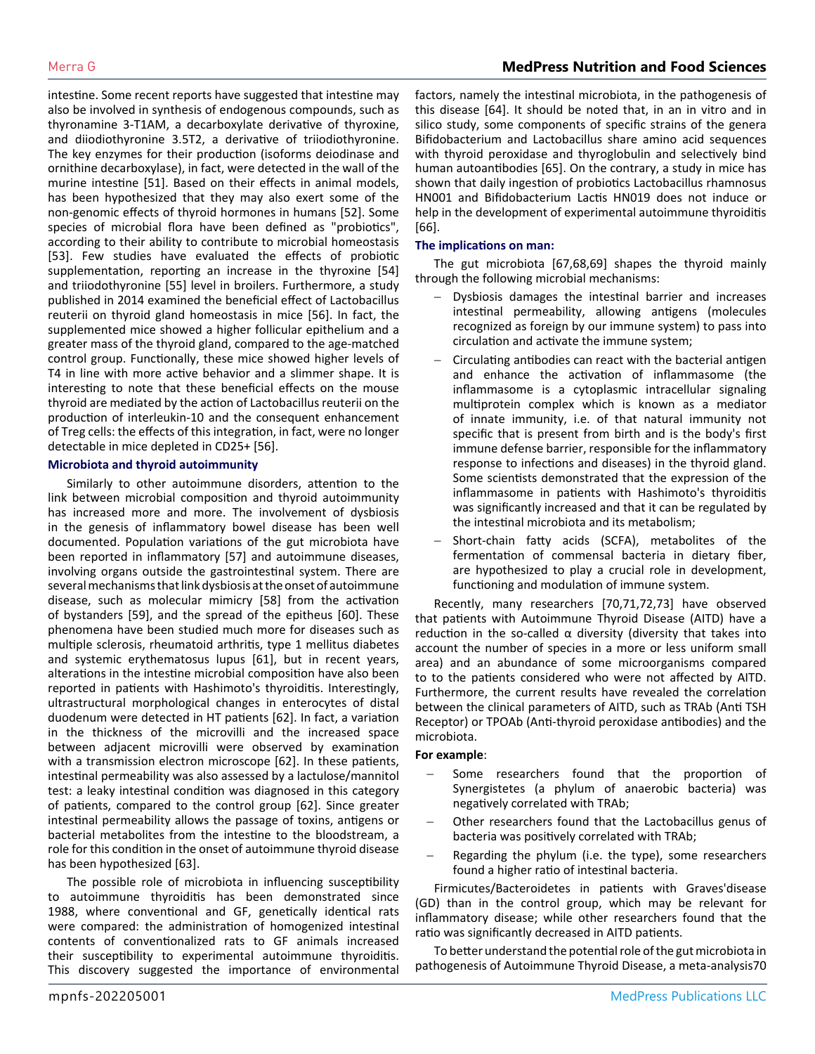intestine. Some recent reports have suggested that intestine may also be involved in synthesis of endogenous compounds, such as thyronamine 3-T1AM, a decarboxylate derivative of thyroxine, and diiodiothyronine 3.5T2, a derivative of triiodiothyronine. The key enzymes for their production (isoforms deiodinase and ornithine decarboxylase), in fact, were detected in the wall of the murine intestine [51]. Based on their effects in animal models, has been hypothesized that they may also exert some of the non-genomic effects of thyroid hormones in humans [52]. Some species of microbial flora have been defined as "probiotics", according to their ability to contribute to microbial homeostasis [53]. Few studies have evaluated the effects of probiotic supplementation, reporting an increase in the thyroxine [54] and triiodothyronine [55] level in broilers. Furthermore, a study published in 2014 examined the beneficial effect of Lactobacillus reuterii on thyroid gland homeostasis in mice [56]. In fact, the supplemented mice showed a higher follicular epithelium and a greater mass of the thyroid gland, compared to the age-matched control group. Functionally, these mice showed higher levels of T4 in line with more active behavior and a slimmer shape. It is interesting to note that these beneficial effects on the mouse thyroid are mediated by the action of Lactobacillus reuterii on the production of interleukin-10 and the consequent enhancement of Treg cells: the effects of this integration, in fact, were no longer detectable in mice depleted in CD25+ [56].

### **Microbiota and thyroid autoimmunity**

Similarly to other autoimmune disorders, attention to the link between microbial composition and thyroid autoimmunity has increased more and more. The involvement of dysbiosis in the genesis of inflammatory bowel disease has been well documented. Population variations of the gut microbiota have been reported in inflammatory [57] and autoimmune diseases, involving organs outside the gastrointestinal system. There are several mechanisms that link dysbiosis at the onset of autoimmune disease, such as molecular mimicry [58] from the activation of bystanders [59], and the spread of the epitheus [60]. These phenomena have been studied much more for diseases such as multiple sclerosis, rheumatoid arthritis, type 1 mellitus diabetes and systemic erythematosus lupus [61], but in recent years, alterations in the intestine microbial composition have also been reported in patients with Hashimoto's thyroiditis. Interestingly, ultrastructural morphological changes in enterocytes of distal duodenum were detected in HT patients [62]. In fact, a variation in the thickness of the microvilli and the increased space between adjacent microvilli were observed by examination with a transmission electron microscope [62]. In these patients, intestinal permeability was also assessed by a lactulose/mannitol test: a leaky intestinal condition was diagnosed in this category of patients, compared to the control group [62]. Since greater intestinal permeability allows the passage of toxins, antigens or bacterial metabolites from the intestine to the bloodstream, a role for this condition in the onset of autoimmune thyroid disease has been hypothesized [63].

The possible role of microbiota in influencing susceptibility to autoimmune thyroiditis has been demonstrated since 1988, where conventional and GF, genetically identical rats were compared: the administration of homogenized intestinal contents of conventionalized rats to GF animals increased their susceptibility to experimental autoimmune thyroiditis. This discovery suggested the importance of environmental

factors, namely the intestinal microbiota, in the pathogenesis of this disease [64]. It should be noted that, in an in vitro and in silico study, some components of specific strains of the genera Bifidobacterium and Lactobacillus share amino acid sequences with thyroid peroxidase and thyroglobulin and selectively bind human autoantibodies [65]. On the contrary, a study in mice has shown that daily ingestion of probiotics Lactobacillus rhamnosus HN001 and Bifidobacterium Lactis HN019 does not induce or help in the development of experimental autoimmune thyroiditis [66].

### **The implications on man:**

The gut microbiota [67,68,69] shapes the thyroid mainly through the following microbial mechanisms:

- Dysbiosis damages the intestinal barrier and increases intestinal permeability, allowing antigens (molecules recognized as foreign by our immune system) to pass into circulation and activate the immune system;
- Circulating antibodies can react with the bacterial antigen and enhance the activation of inflammasome (the inflammasome is a cytoplasmic intracellular signaling multiprotein complex which is known as a mediator of innate immunity, i.e. of that natural immunity not specific that is present from birth and is the body's first immune defense barrier, responsible for the inflammatory response to infections and diseases) in the thyroid gland. Some scientists demonstrated that the expression of the inflammasome in patients with Hashimoto's thyroiditis was significantly increased and that it can be regulated by the intestinal microbiota and its metabolism;
- Short-chain fatty acids (SCFA), metabolites of the fermentation of commensal bacteria in dietary fiber, are hypothesized to play a crucial role in development, functioning and modulation of immune system.

Recently, many researchers [70,71,72,73] have observed that patients with Autoimmune Thyroid Disease (AITD) have a reduction in the so-called  $\alpha$  diversity (diversity that takes into account the number of species in a more or less uniform small area) and an abundance of some microorganisms compared to to the patients considered who were not affected by AITD. Furthermore, the current results have revealed the correlation between the clinical parameters of AITD, such as TRAb (Anti TSH Receptor) or TPOAb (Anti-thyroid peroxidase antibodies) and the microbiota.

### **For example**:

- Some researchers found that the proportion of Synergistetes (a phylum of anaerobic bacteria) was negatively correlated with TRAb;
- Other researchers found that the Lactobacillus genus of bacteria was positively correlated with TRAb;
- Regarding the phylum (i.e. the type), some researchers found a higher ratio of intestinal bacteria.

Firmicutes/Bacteroidetes in patients with Graves'disease (GD) than in the control group, which may be relevant for inflammatory disease; while other researchers found that the ratio was significantly decreased in AITD patients.

To better understand the potential role of the gut microbiota in pathogenesis of Autoimmune Thyroid Disease, a meta-analysis70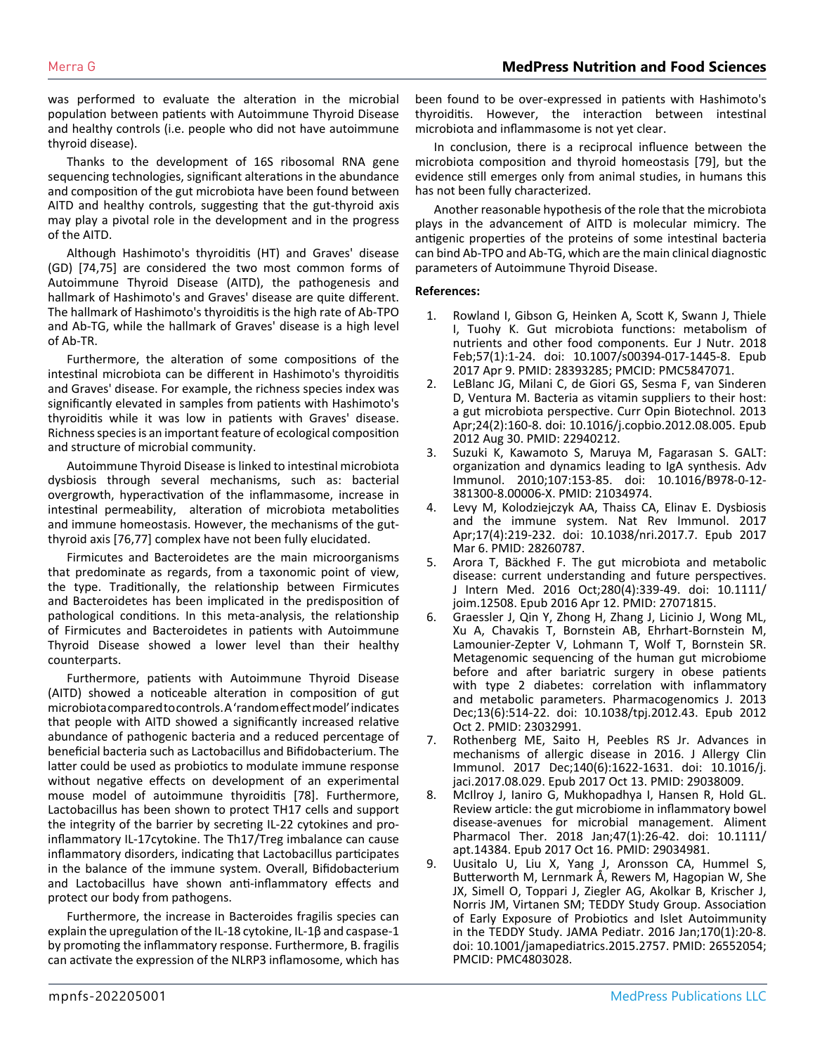was performed to evaluate the alteration in the microbial population between patients with Autoimmune Thyroid Disease and healthy controls (i.e. people who did not have autoimmune thyroid disease).

Thanks to the development of 16S ribosomal RNA gene sequencing technologies, significant alterations in the abundance and composition of the gut microbiota have been found between AITD and healthy controls, suggesting that the gut-thyroid axis may play a pivotal role in the development and in the progress of the AITD.

Although Hashimoto's thyroiditis (HT) and Graves' disease (GD) [74,75] are considered the two most common forms of Autoimmune Thyroid Disease (AITD), the pathogenesis and hallmark of Hashimoto's and Graves' disease are quite different. The hallmark of Hashimoto's thyroiditis is the high rate of Ab-TPO and Ab-TG, while the hallmark of Graves' disease is a high level of Ab-TR.

Furthermore, the alteration of some compositions of the intestinal microbiota can be different in Hashimoto's thyroiditis and Graves' disease. For example, the richness species index was significantly elevated in samples from patients with Hashimoto's thyroiditis while it was low in patients with Graves' disease. Richness species is an important feature of ecological composition and structure of microbial community.

Autoimmune Thyroid Disease is linked to intestinal microbiota dysbiosis through several mechanisms, such as: bacterial overgrowth, hyperactivation of the inflammasome, increase in intestinal permeability, alteration of microbiota metabolities and immune homeostasis. However, the mechanisms of the gutthyroid axis [76,77] complex have not been fully elucidated.

Firmicutes and Bacteroidetes are the main microorganisms that predominate as regards, from a taxonomic point of view, the type. Traditionally, the relationship between Firmicutes and Bacteroidetes has been implicated in the predisposition of pathological conditions. In this meta-analysis, the relationship of Firmicutes and Bacteroidetes in patients with Autoimmune Thyroid Disease showed a lower level than their healthy counterparts.

Furthermore, patients with Autoimmune Thyroid Disease (AITD) showed a noticeable alteration in composition of gut microbiota compared to controls. A 'random effect model' indicates that people with AITD showed a significantly increased relative abundance of pathogenic bacteria and a reduced percentage of beneficial bacteria such as Lactobacillus and Bifidobacterium. The latter could be used as probiotics to modulate immune response without negative effects on development of an experimental mouse model of autoimmune thyroiditis [78]. Furthermore, Lactobacillus has been shown to protect TH17 cells and support the integrity of the barrier by secreting IL-22 cytokines and proinflammatory IL-17cytokine. The Th17/Treg imbalance can cause inflammatory disorders, indicating that Lactobacillus participates in the balance of the immune system. Overall, Bifidobacterium and Lactobacillus have shown anti-inflammatory effects and protect our body from pathogens.

Furthermore, the increase in Bacteroides fragilis species can explain the upregulation of the IL-18 cytokine, IL-1β and caspase-1 by promoting the inflammatory response. Furthermore, B. fragilis can activate the expression of the NLRP3 inflamosome, which has been found to be over-expressed in patients with Hashimoto's thyroiditis. However, the interaction between intestinal microbiota and inflammasome is not yet clear.

In conclusion, there is a reciprocal influence between the microbiota composition and thyroid homeostasis [79], but the evidence still emerges only from animal studies, in humans this has not been fully characterized.

Another reasonable hypothesis of the role that the microbiota plays in the advancement of AITD is molecular mimicry. The antigenic properties of the proteins of some intestinal bacteria can bind Ab-TPO and Ab-TG, which are the main clinical diagnostic parameters of Autoimmune Thyroid Disease.

### **References:**

- 1. [Rowland I, Gibson G, Heinken A, Scott K, Swann J, Thiele](https://pubmed.ncbi.nlm.nih.gov/28393285/)  [I, Tuohy K. Gut microbiota functions: metabolism of](https://pubmed.ncbi.nlm.nih.gov/28393285/)  [nutrients and other food components. Eur J Nutr. 2018](https://pubmed.ncbi.nlm.nih.gov/28393285/)  [Feb;57\(1\):1-24. doi: 10.1007/s00394-017-1445-8. Epub](https://pubmed.ncbi.nlm.nih.gov/28393285/)  [2017 Apr 9. PMID: 28393285; PMCID: PMC5847071.](https://pubmed.ncbi.nlm.nih.gov/28393285/)
- 2. [LeBlanc JG, Milani C, de Giori GS, Sesma F, van Sinderen](https://pubmed.ncbi.nlm.nih.gov/22940212/)  [D, Ventura M. Bacteria as vitamin suppliers to their host:](https://pubmed.ncbi.nlm.nih.gov/22940212/)  [a gut microbiota perspective. Curr Opin Biotechnol. 2013](https://pubmed.ncbi.nlm.nih.gov/22940212/) [Apr;24\(2\):160-8. doi: 10.1016/j.copbio.2012.08.005. Epub](https://pubmed.ncbi.nlm.nih.gov/22940212/)  [2012 Aug 30. PMID: 22940212.](https://pubmed.ncbi.nlm.nih.gov/22940212/)
- 3. [Suzuki K, Kawamoto S, Maruya M, Fagarasan S. GALT:](https://pubmed.ncbi.nlm.nih.gov/21034974/)  [organization and dynamics leading to IgA synthesis. Adv](https://pubmed.ncbi.nlm.nih.gov/21034974/)  [Immunol. 2010;107:153-85. doi: 10.1016/B978-0-12-](https://pubmed.ncbi.nlm.nih.gov/21034974/) [381300-8.00006-X. PMID: 21034974.](https://pubmed.ncbi.nlm.nih.gov/21034974/)
- 4. [Levy M, Kolodziejczyk AA, Thaiss CA, Elinav E. Dysbiosis](https://pubmed.ncbi.nlm.nih.gov/28260787/)  [and the immune system. Nat Rev Immunol. 2017](https://pubmed.ncbi.nlm.nih.gov/28260787/)  [Apr;17\(4\):219-232. doi: 10.1038/nri.2017.7. Epub 2017](https://pubmed.ncbi.nlm.nih.gov/28260787/) [Mar 6. PMID: 28260787.](https://pubmed.ncbi.nlm.nih.gov/28260787/)
- 5. [Arora T, Bäckhed F. The gut microbiota and metabolic](https://pubmed.ncbi.nlm.nih.gov/27071815/)  [disease: current understanding and future perspectives.](https://pubmed.ncbi.nlm.nih.gov/27071815/)  [J Intern Med. 2016 Oct;280\(4\):339-49. doi: 10.1111/](https://pubmed.ncbi.nlm.nih.gov/27071815/) [joim.12508. Epub 2016 Apr 12. PMID: 27071815.](https://pubmed.ncbi.nlm.nih.gov/27071815/)
- 6. [Graessler J, Qin Y, Zhong H, Zhang J, Licinio J, Wong ML,](https://pubmed.ncbi.nlm.nih.gov/23032991/)  [Xu A, Chavakis T, Bornstein AB, Ehrhart-Bornstein M,](https://pubmed.ncbi.nlm.nih.gov/23032991/)  [Lamounier-Zepter V, Lohmann T, Wolf T, Bornstein SR.](https://pubmed.ncbi.nlm.nih.gov/23032991/)  [Metagenomic sequencing of the human gut microbiome](https://pubmed.ncbi.nlm.nih.gov/23032991/)  [before and after bariatric surgery in obese patients](https://pubmed.ncbi.nlm.nih.gov/23032991/)  [with type 2 diabetes: correlation with inflammatory](https://pubmed.ncbi.nlm.nih.gov/23032991/)  [and metabolic parameters. Pharmacogenomics J. 2013](https://pubmed.ncbi.nlm.nih.gov/23032991/) [Dec;13\(6\):514-22. doi: 10.1038/tpj.2012.43. Epub 2012](https://pubmed.ncbi.nlm.nih.gov/23032991/) [Oct 2. PMID: 23032991.](https://pubmed.ncbi.nlm.nih.gov/23032991/)
- 7. [Rothenberg ME, Saito H, Peebles RS Jr. Advances in](https://pubmed.ncbi.nlm.nih.gov/29038009/)  [mechanisms of allergic disease in 2016. J Allergy Clin](https://pubmed.ncbi.nlm.nih.gov/29038009/)  [Immunol. 2017 Dec;140\(6\):1622-1631. doi: 10.1016/j.](https://pubmed.ncbi.nlm.nih.gov/29038009/) [jaci.2017.08.029. Epub 2017 Oct 13. PMID: 29038009.](https://pubmed.ncbi.nlm.nih.gov/29038009/)
- 8. [McIlroy J, Ianiro G, Mukhopadhya I, Hansen R, Hold GL.](https://pubmed.ncbi.nlm.nih.gov/29034981/)  [Review article: the gut microbiome in inflammatory bowel](https://pubmed.ncbi.nlm.nih.gov/29034981/)  [disease-avenues for microbial management. Aliment](https://pubmed.ncbi.nlm.nih.gov/29034981/)  [Pharmacol Ther. 2018 Jan;47\(1\):26-42. doi: 10.1111/](https://pubmed.ncbi.nlm.nih.gov/29034981/) [apt.14384. Epub 2017 Oct 16. PMID: 29034981.](https://pubmed.ncbi.nlm.nih.gov/29034981/)
- 9. [Uusitalo U, Liu X, Yang J, Aronsson CA, Hummel S,](https://pubmed.ncbi.nlm.nih.gov/26552054/)  [Butterworth M, Lernmark Å, Rewers M, Hagopian W, She](https://pubmed.ncbi.nlm.nih.gov/26552054/)  [JX, Simell O, Toppari J, Ziegler AG, Akolkar B, Krischer J,](https://pubmed.ncbi.nlm.nih.gov/26552054/)  [Norris JM, Virtanen SM; TEDDY Study Group. Association](https://pubmed.ncbi.nlm.nih.gov/26552054/)  [of Early Exposure of Probiotics and Islet Autoimmunity](https://pubmed.ncbi.nlm.nih.gov/26552054/)  [in the TEDDY Study. JAMA Pediatr. 2016 Jan;170\(1\):20-8.](https://pubmed.ncbi.nlm.nih.gov/26552054/)  [doi: 10.1001/jamapediatrics.2015.2757. PMID: 26552054;](https://pubmed.ncbi.nlm.nih.gov/26552054/) [PMCID: PMC4803028.](https://pubmed.ncbi.nlm.nih.gov/26552054/)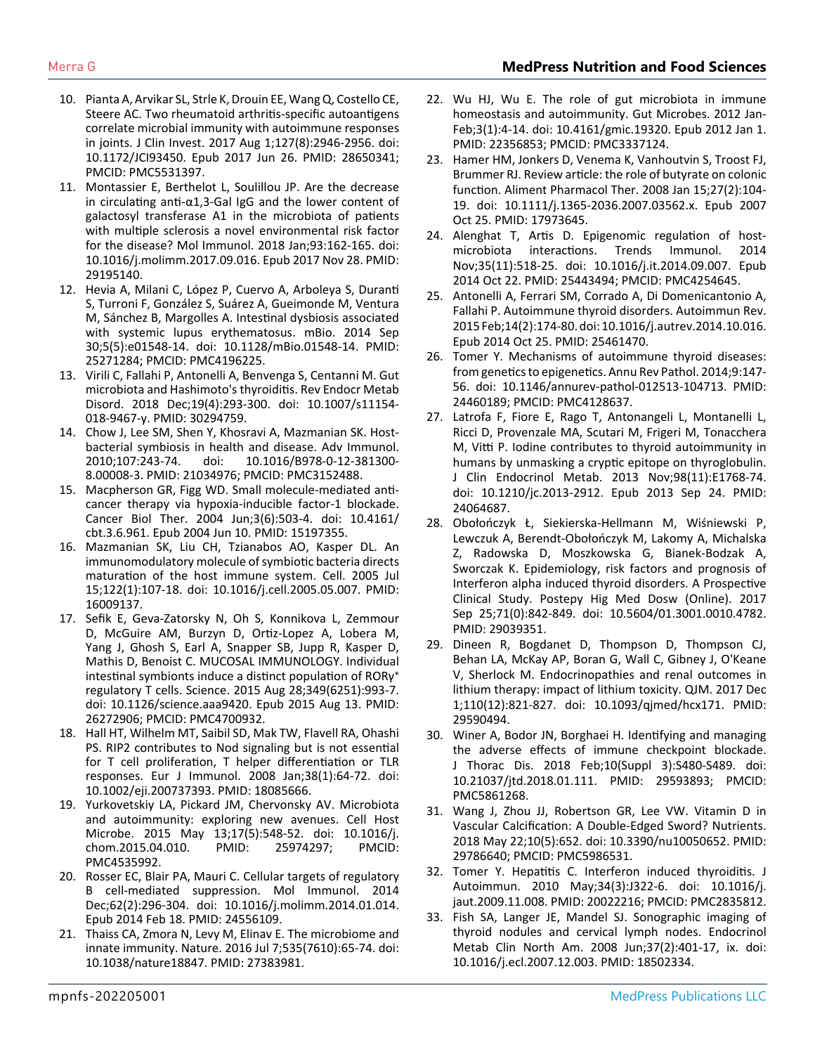- 10. [Pianta A, Arvikar SL, Strle K, Drouin EE, Wang Q, Costello CE,](https://pubmed.ncbi.nlm.nih.gov/28650341/)  [Steere AC. Two rheumatoid arthritis-specific autoantigens](https://pubmed.ncbi.nlm.nih.gov/28650341/)  [correlate microbial immunity with autoimmune responses](https://pubmed.ncbi.nlm.nih.gov/28650341/)  [in joints. J Clin Invest. 2017 Aug 1;127\(8\):2946-2956. doi:](https://pubmed.ncbi.nlm.nih.gov/28650341/)  [10.1172/JCI93450. Epub 2017 Jun 26. PMID: 28650341;](https://pubmed.ncbi.nlm.nih.gov/28650341/) [PMCID: PMC5531397.](https://pubmed.ncbi.nlm.nih.gov/28650341/)
- 11. [Montassier E, Berthelot L, Soulillou JP. Are the decrease](https://pubmed.ncbi.nlm.nih.gov/29195140/) [in circulating anti-α1,3-Gal IgG and the lower content of](https://pubmed.ncbi.nlm.nih.gov/29195140/)  [galactosyl transferase A1 in the microbiota of patients](https://pubmed.ncbi.nlm.nih.gov/29195140/)  [with multiple sclerosis a novel environmental risk factor](https://pubmed.ncbi.nlm.nih.gov/29195140/)  [for the disease? Mol Immunol. 2018 Jan;93:162-165. doi:](https://pubmed.ncbi.nlm.nih.gov/29195140/)  [10.1016/j.molimm.2017.09.016. Epub 2017 Nov 28. PMID:](https://pubmed.ncbi.nlm.nih.gov/29195140/) [29195140.](https://pubmed.ncbi.nlm.nih.gov/29195140/)
- 12. [Hevia A, Milani C, López P, Cuervo A, Arboleya S, Duranti](https://pubmed.ncbi.nlm.nih.gov/25271284/)  [S, Turroni F, González S, Suárez A, Gueimonde M, Ventura](https://pubmed.ncbi.nlm.nih.gov/25271284/)  [M, Sánchez B, Margolles A. Intestinal dysbiosis associated](https://pubmed.ncbi.nlm.nih.gov/25271284/)  [with systemic lupus erythematosus. mBio. 2014 Sep](https://pubmed.ncbi.nlm.nih.gov/25271284/)  [30;5\(5\):e01548-14. doi: 10.1128/mBio.01548-14. PMID:](https://pubmed.ncbi.nlm.nih.gov/25271284/) [25271284; PMCID: PMC4196225.](https://pubmed.ncbi.nlm.nih.gov/25271284/)
- 13. [Virili C, Fallahi P, Antonelli A, Benvenga S, Centanni M. Gut](https://pubmed.ncbi.nlm.nih.gov/30294759/#:~:text=The whole thyroid peripheral homeostasis,or even from overt dysbiosis.)  [microbiota and Hashimoto's thyroiditis. Rev Endocr Metab](https://pubmed.ncbi.nlm.nih.gov/30294759/#:~:text=The whole thyroid peripheral homeostasis,or even from overt dysbiosis.)  [Disord. 2018 Dec;19\(4\):293-300. doi: 10.1007/s11154-](https://pubmed.ncbi.nlm.nih.gov/30294759/#:~:text=The whole thyroid peripheral homeostasis,or even from overt dysbiosis.) [018-9467-y. PMID: 30294759.](https://pubmed.ncbi.nlm.nih.gov/30294759/#:~:text=The whole thyroid peripheral homeostasis,or even from overt dysbiosis.)
- 14. [Chow J, Lee SM, Shen Y, Khosravi A, Mazmanian SK. Host](https://pubmed.ncbi.nlm.nih.gov/21034976/)[bacterial symbiosis in health and disease. Adv Immunol.](https://pubmed.ncbi.nlm.nih.gov/21034976/)  [2010;107:243-74. doi: 10.1016/B978-0-12-381300-](https://pubmed.ncbi.nlm.nih.gov/21034976/) [8.00008-3. PMID: 21034976; PMCID: PMC3152488.](https://pubmed.ncbi.nlm.nih.gov/21034976/)
- 15. [Macpherson GR, Figg WD. Small molecule-mediated anti](https://pubmed.ncbi.nlm.nih.gov/15197355/)[cancer therapy via hypoxia-inducible factor-1 blockade.](https://pubmed.ncbi.nlm.nih.gov/15197355/)  [Cancer Biol Ther. 2004 Jun;3\(6\):503-4. doi: 10.4161/](https://pubmed.ncbi.nlm.nih.gov/15197355/) [cbt.3.6.961. Epub 2004 Jun 10. PMID: 15197355.](https://pubmed.ncbi.nlm.nih.gov/15197355/)
- 16. [Mazmanian SK, Liu CH, Tzianabos AO, Kasper DL. An](https://pubmed.ncbi.nlm.nih.gov/16009137/)  [immunomodulatory molecule of symbiotic bacteria directs](https://pubmed.ncbi.nlm.nih.gov/16009137/)  [maturation of the host immune system. Cell. 2005 Jul](https://pubmed.ncbi.nlm.nih.gov/16009137/)  [15;122\(1\):107-18. doi: 10.1016/j.cell.2005.05.007. PMID:](https://pubmed.ncbi.nlm.nih.gov/16009137/) [16009137.](https://pubmed.ncbi.nlm.nih.gov/16009137/)
- 17. [Sefik E, Geva-Zatorsky N, Oh S, Konnikova L, Zemmour](https://pubmed.ncbi.nlm.nih.gov/26272906/)  [D, McGuire AM, Burzyn D, Ortiz-Lopez A, Lobera M,](https://pubmed.ncbi.nlm.nih.gov/26272906/) [Yang J, Ghosh S, Earl A, Snapper SB, Jupp R, Kasper D,](https://pubmed.ncbi.nlm.nih.gov/26272906/)  [Mathis D, Benoist C. MUCOSAL IMMUNOLOGY. Individual](https://pubmed.ncbi.nlm.nih.gov/26272906/)  intestinal symbionts induce a distinct population of  $RORy^+$ [regulatory T cells. Science. 2015 Aug 28;349\(6251\):993-7.](https://pubmed.ncbi.nlm.nih.gov/26272906/) [doi: 10.1126/science.aaa9420. Epub 2015 Aug 13. PMID:](https://pubmed.ncbi.nlm.nih.gov/26272906/) [26272906; PMCID: PMC4700932.](https://pubmed.ncbi.nlm.nih.gov/26272906/)
- 18. [Hall HT, Wilhelm MT, Saibil SD, Mak TW, Flavell RA, Ohashi](https://pubmed.ncbi.nlm.nih.gov/18085666/)  [PS. RIP2 contributes to Nod signaling but is not essential](https://pubmed.ncbi.nlm.nih.gov/18085666/)  [for T cell proliferation, T helper differentiation or TLR](https://pubmed.ncbi.nlm.nih.gov/18085666/)  [responses. Eur J Immunol. 2008 Jan;38\(1\):64-72. doi:](https://pubmed.ncbi.nlm.nih.gov/18085666/)  [10.1002/eji.200737393. PMID: 18085666.](https://pubmed.ncbi.nlm.nih.gov/18085666/)
- 19. [Yurkovetskiy LA, Pickard JM, Chervonsky AV. Microbiota](https://pubmed.ncbi.nlm.nih.gov/25974297/)  [and autoimmunity: exploring new avenues. Cell Host](https://pubmed.ncbi.nlm.nih.gov/25974297/)  [Microbe. 2015 May 13;17\(5\):548-52. doi: 10.1016/j.](https://pubmed.ncbi.nlm.nih.gov/25974297/) [chom.2015.04.010. PMID: 25974297; PMCID:](https://pubmed.ncbi.nlm.nih.gov/25974297/) [PMC4535992.](https://pubmed.ncbi.nlm.nih.gov/25974297/)
- 20. [Rosser EC, Blair PA, Mauri C. Cellular targets of regulatory](https://pubmed.ncbi.nlm.nih.gov/24556109/) [B cell-mediated suppression. Mol Immunol. 2014](https://pubmed.ncbi.nlm.nih.gov/24556109/)  [Dec;62\(2\):296-304. doi: 10.1016/j.molimm.2014.01.014.](https://pubmed.ncbi.nlm.nih.gov/24556109/)  [Epub 2014 Feb 18. PMID: 24556109.](https://pubmed.ncbi.nlm.nih.gov/24556109/)
- 21. [Thaiss CA, Zmora N, Levy M, Elinav E. The microbiome and](https://pubmed.ncbi.nlm.nih.gov/27383981/#:~:text=The haematopoietic and non%2Dhaematopoietic,the regulation of microbial ecology.)  [innate immunity. Nature. 2016 Jul 7;535\(7610\):65-74. doi:](https://pubmed.ncbi.nlm.nih.gov/27383981/#:~:text=The haematopoietic and non%2Dhaematopoietic,the regulation of microbial ecology.)  [10.1038/nature18847. PMID: 27383981.](https://pubmed.ncbi.nlm.nih.gov/27383981/#:~:text=The haematopoietic and non%2Dhaematopoietic,the regulation of microbial ecology.)
- 22. [Wu HJ, Wu E. The role of gut microbiota in immune](https://www.ncbi.nlm.nih.gov/pmc/articles/PMC3337124/#:~:text=The gut microbiota that resides,dysregulation%2C leading to autoimmune disorders.)  home[ostasis and autoimmunity. Gut Microbes. 2012 Jan-](https://www.ncbi.nlm.nih.gov/pmc/articles/PMC3337124/#:~:text=The gut microbiota that resides,dysregulation%2C leading to autoimmune disorders.)[Feb;3\(1\):4-14. doi: 10.4161/gmic.19320. Epub 2012 Jan 1.](https://www.ncbi.nlm.nih.gov/pmc/articles/PMC3337124/#:~:text=The gut microbiota that resides,dysregulation%2C leading to autoimmune disorders.)  [PMID: 22356853; PMCID: PMC3337124.](https://www.ncbi.nlm.nih.gov/pmc/articles/PMC3337124/#:~:text=The gut microbiota that resides,dysregulation%2C leading to autoimmune disorders.)
- 23. [Hamer HM, Jonkers D, Venema K, Vanhoutvin S, Troost FJ,](https://pubmed.ncbi.nlm.nih.gov/17973645/)  [Brummer RJ. Review article: the role of butyrate on colonic](https://pubmed.ncbi.nlm.nih.gov/17973645/)  [function. Aliment Pharmacol Ther. 2008 Jan 15;27\(2\):104-](https://pubmed.ncbi.nlm.nih.gov/17973645/) [19. doi: 10.1111/j.1365-2036.2007.03562.x. Epub 2007](https://pubmed.ncbi.nlm.nih.gov/17973645/) [Oct 25. PMID: 17973645.](https://pubmed.ncbi.nlm.nih.gov/17973645/)
- 24. [Alenghat T, Artis D. Epigenomic regulation of host](https://pubmed.ncbi.nlm.nih.gov/25443494/#:~:text=Highly coordinated epigenomic modifications allow,between mammals and their microbiota.)[microbiota interactions. Trends Immunol. 2014](https://pubmed.ncbi.nlm.nih.gov/25443494/#:~:text=Highly coordinated epigenomic modifications allow,between mammals and their microbiota.) [Nov;35\(11\):518-25. doi: 10.1016/j.it.2014.09.007. Epub](https://pubmed.ncbi.nlm.nih.gov/25443494/#:~:text=Highly coordinated epigenomic modifications allow,between mammals and their microbiota.)  [2014 Oct 22. PMID: 25443494; PMCID: PMC4254645.](https://pubmed.ncbi.nlm.nih.gov/25443494/#:~:text=Highly coordinated epigenomic modifications allow,between mammals and their microbiota.)
- 25. [Antonelli A, Ferrari SM, Corrado A, Di Domenicantonio A,](https://pubmed.ncbi.nlm.nih.gov/25461470/#:~:text=Autoimmune thyroid diseases (AITD) result,antibodies may be even higher.) [Fallahi P. Autoimmune thyroid disorders. Autoimmun Rev.](https://pubmed.ncbi.nlm.nih.gov/25461470/#:~:text=Autoimmune thyroid diseases (AITD) result,antibodies may be even higher.) [2015 Feb;14\(2\):174-80. doi: 10.1016/j.autrev.2014.10.016.](https://pubmed.ncbi.nlm.nih.gov/25461470/#:~:text=Autoimmune thyroid diseases (AITD) result,antibodies may be even higher.)  [Epub 2014 Oct 25. PMID: 25461470.](https://pubmed.ncbi.nlm.nih.gov/25461470/#:~:text=Autoimmune thyroid diseases (AITD) result,antibodies may be even higher.)
- 26. [Tomer Y. Mechanisms of autoimmune thyroid diseases:](https://pubmed.ncbi.nlm.nih.gov/24460189/)  [from genetics to epigenetics. Annu Rev Pathol. 2014;9:147-](https://pubmed.ncbi.nlm.nih.gov/24460189/) [56. doi: 10.1146/annurev-pathol-012513-104713. PMID:](https://pubmed.ncbi.nlm.nih.gov/24460189/) [24460189; PMCID: PMC4128637.](https://pubmed.ncbi.nlm.nih.gov/24460189/)
- 27. [Latrofa F, Fiore E, Rago T, Antonangeli L, Montanelli L,](https://pubmed.ncbi.nlm.nih.gov/24064687/)  [Ricci D, Provenzale MA, Scutari M, Frigeri M, Tonacchera](https://pubmed.ncbi.nlm.nih.gov/24064687/)  [M, Vitti P. Iodine contributes to thyroid autoimmunity in](https://pubmed.ncbi.nlm.nih.gov/24064687/)  [humans by unmasking a cryptic epitope on thyroglobulin.](https://pubmed.ncbi.nlm.nih.gov/24064687/)  [J Clin Endocrinol Metab. 2013 Nov;98\(11\):E1768-74.](https://pubmed.ncbi.nlm.nih.gov/24064687/) [doi: 10.1210/jc.2013-2912. Epub 2013 Sep 24. PMID:](https://pubmed.ncbi.nlm.nih.gov/24064687/) [24064687.](https://pubmed.ncbi.nlm.nih.gov/24064687/)
- 28. [Obołończyk Ł, Siekierska-Hellmann M, Wiśniewski P,](https://pubmed.ncbi.nlm.nih.gov/29039351/) [Lewczuk A, Berendt-Obołończyk M, Lakomy A, Michalska](https://pubmed.ncbi.nlm.nih.gov/29039351/)  [Z, Radowska D, Moszkowska G, Bianek-Bodzak A,](https://pubmed.ncbi.nlm.nih.gov/29039351/) [Sworczak K. Epidemiology, risk factors and prognosis of](https://pubmed.ncbi.nlm.nih.gov/29039351/)  [Interferon alpha induced thyroid disorders. A Prospective](https://pubmed.ncbi.nlm.nih.gov/29039351/) [Clinical Study. Postepy Hig Med Dosw \(Online\). 2017](https://pubmed.ncbi.nlm.nih.gov/29039351/) [Sep 25;71\(0\):842-849. doi: 10.5604/01.3001.0010.4782.](https://pubmed.ncbi.nlm.nih.gov/29039351/) [PMID: 29039351.](https://pubmed.ncbi.nlm.nih.gov/29039351/)
- 29. [Dineen R, Bogdanet D, Thompson D, Thompson CJ,](https://academic.oup.com/qjmed/article/110/12/821/4093232?login=true) [Behan LA, McKay AP, Boran G, Wall C, Gibney J, O'Keane](https://academic.oup.com/qjmed/article/110/12/821/4093232?login=true) [V, Sherlock M. Endocrinopathies and renal outcomes in](https://academic.oup.com/qjmed/article/110/12/821/4093232?login=true)  [lithium therapy: impact of lithium toxicity. QJM. 2017 Dec](https://academic.oup.com/qjmed/article/110/12/821/4093232?login=true) [1;110\(12\):821-827. doi: 10.1093/qjmed/hcx171. PMID:](https://academic.oup.com/qjmed/article/110/12/821/4093232?login=true) [29590494.](https://academic.oup.com/qjmed/article/110/12/821/4093232?login=true)
- 30. [Winer A, Bodor JN, Borghaei H. Identifying and managing](https://pubmed.ncbi.nlm.nih.gov/29593893/)  [the adverse effects of immune checkpoint blockade.](https://pubmed.ncbi.nlm.nih.gov/29593893/)  [J Thorac Dis. 2018 Feb;10\(Suppl 3\):S480-S489. doi:](https://pubmed.ncbi.nlm.nih.gov/29593893/)  [10.21037/jtd.2018.01.111. PMID: 29593893; PMCID:](https://pubmed.ncbi.nlm.nih.gov/29593893/) [PMC5861268.](https://pubmed.ncbi.nlm.nih.gov/29593893/)
- 31. [Wang J, Zhou JJ, Robertson GR, Lee VW. Vitamin D in](https://pubmed.ncbi.nlm.nih.gov/29786640/)  [Vascular Calcification: A Double-Edged Sword? Nutrients.](https://pubmed.ncbi.nlm.nih.gov/29786640/)  [2018 May 22;10\(5\):652. doi: 10.3390/nu10050652. PMID:](https://pubmed.ncbi.nlm.nih.gov/29786640/) [29786640; PMCID: PMC5986531.](https://pubmed.ncbi.nlm.nih.gov/29786640/)
- 32. [Tomer Y. Hepatitis C. Interferon induced thyroiditis. J](https://www.ncbi.nlm.nih.gov/pmc/articles/PMC2818066/#:~:text=Interferon induced thyroiditis (IIT) is,30%25 developing subclinical autoimmune thyroiditis.)  [Autoimmun. 2010 May;34\(3\):J322-6. doi: 10.1016/j.](https://www.ncbi.nlm.nih.gov/pmc/articles/PMC2818066/#:~:text=Interferon induced thyroiditis (IIT) is,30%25 developing subclinical autoimmune thyroiditis.) [jaut.2009.11.008. PMID: 20022216; PMCID: PMC2835812.](https://www.ncbi.nlm.nih.gov/pmc/articles/PMC2818066/#:~:text=Interferon induced thyroiditis (IIT) is,30%25 developing subclinical autoimmune thyroiditis.)
- 33. [Fish SA, Langer JE, Mandel SJ. Sonographic imaging of](https://pubmed.ncbi.nlm.nih.gov/18502334/)  [thyroid nodules and cervical lymph nodes. Endocrinol](https://pubmed.ncbi.nlm.nih.gov/18502334/)  [Metab Clin North Am. 2008 Jun;37\(2\):401-17, ix. doi:](https://pubmed.ncbi.nlm.nih.gov/18502334/)  [10.1016/j.ecl.2007.12.003. PMID: 18502334.](https://pubmed.ncbi.nlm.nih.gov/18502334/)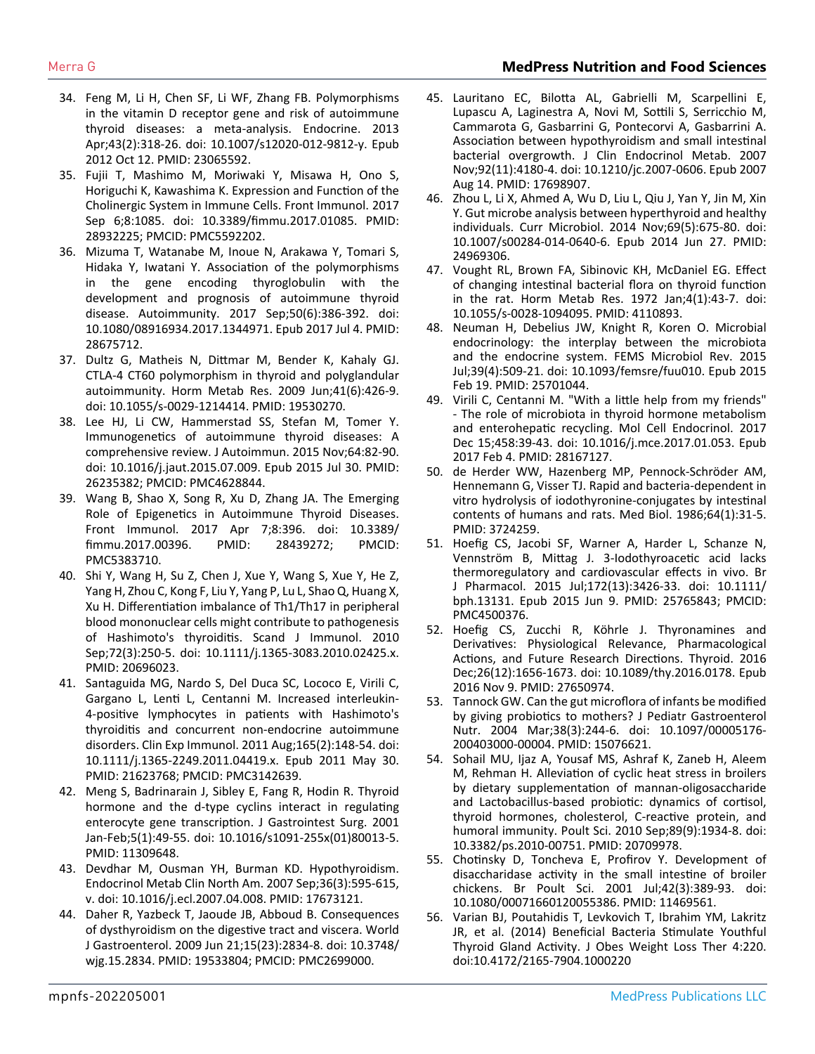- 34. [Feng M, Li H, Chen SF, Li WF, Zhang FB. Polymorphisms](https://pubmed.ncbi.nlm.nih.gov/23065592/)  [in the vitamin D receptor gene and risk of autoimmune](https://pubmed.ncbi.nlm.nih.gov/23065592/)  [thyroid diseases: a meta-analysis. Endocrine. 2013](https://pubmed.ncbi.nlm.nih.gov/23065592/) [Apr;43\(2\):318-26. doi: 10.1007/s12020-012-9812-y. Epub](https://pubmed.ncbi.nlm.nih.gov/23065592/)  [2012 Oct 12. PMID: 23065592.](https://pubmed.ncbi.nlm.nih.gov/23065592/)
- 35. [Fujii T, Mashimo M, Moriwaki Y, Misawa H, Ono S,](https://pubmed.ncbi.nlm.nih.gov/28932225/)  [Horiguchi K, Kawashima K. Expression and Function of the](https://pubmed.ncbi.nlm.nih.gov/28932225/)  [Cholinergic System in Immune Cells. Front Immunol. 2017](https://pubmed.ncbi.nlm.nih.gov/28932225/) [Sep 6;8:1085. doi: 10.3389/fimmu.2017.01085. PMID:](https://pubmed.ncbi.nlm.nih.gov/28932225/) [28932225; PMCID: PMC5592202.](https://pubmed.ncbi.nlm.nih.gov/28932225/)
- 36. [Mizuma T, Watanabe M, Inoue N, Arakawa Y, Tomari S,](https://pubmed.ncbi.nlm.nih.gov/28675712/) [Hidaka Y, Iwatani Y. Association of the polymorphisms](https://pubmed.ncbi.nlm.nih.gov/28675712/)  [in the gene encoding thyroglobulin with the](https://pubmed.ncbi.nlm.nih.gov/28675712/) [development and prognosis of autoimmune thyroid](https://pubmed.ncbi.nlm.nih.gov/28675712/)  [disease. Autoimmunity. 2017 Sep;50\(6\):386-392. doi:](https://pubmed.ncbi.nlm.nih.gov/28675712/)  [10.1080/08916934.2017.1344971. Epub 2017 Jul 4. PMID:](https://pubmed.ncbi.nlm.nih.gov/28675712/) [28675712.](https://pubmed.ncbi.nlm.nih.gov/28675712/)
- 37. [Dultz G, Matheis N, Dittmar M, Bender K, Kahaly GJ.](https://pubmed.ncbi.nlm.nih.gov/19530270/)  [CTLA-4 CT60 polymorphism in thyroid and polyglandular](https://pubmed.ncbi.nlm.nih.gov/19530270/)  [autoimmunity. Horm Metab Res. 2009 Jun;41\(6\):426-9.](https://pubmed.ncbi.nlm.nih.gov/19530270/) [doi: 10.1055/s-0029-1214414. PMID: 19530270.](https://pubmed.ncbi.nlm.nih.gov/19530270/)
- 38. [Lee HJ, Li CW, Hammerstad SS, Stefan M, Tomer Y.](https://pubmed.ncbi.nlm.nih.gov/26235382/)  [Immunogenetics of autoimmune thyroid diseases: A](https://pubmed.ncbi.nlm.nih.gov/26235382/) [comprehensive review. J Autoimmun. 2015 Nov;64:82-90.](https://pubmed.ncbi.nlm.nih.gov/26235382/) [doi: 10.1016/j.jaut.2015.07.009. Epub 2015 Jul 30. PMID:](https://pubmed.ncbi.nlm.nih.gov/26235382/) [26235382; PMCID: PMC4628844.](https://pubmed.ncbi.nlm.nih.gov/26235382/)
- 39. [Wang B, Shao X, Song R, Xu D, Zhang JA. The Emerging](https://www.ncbi.nlm.nih.gov/pmc/articles/PMC5383710/)  [Role of Epigenetics in Autoimmune Thyroid Diseases.](https://www.ncbi.nlm.nih.gov/pmc/articles/PMC5383710/)  [Front Immunol. 2017 Apr 7;8:396. doi: 10.3389/](https://www.ncbi.nlm.nih.gov/pmc/articles/PMC5383710/) [fimmu.2017.00396. PMID: 28439272; PMCID:](https://www.ncbi.nlm.nih.gov/pmc/articles/PMC5383710/) [PMC5383710.](https://www.ncbi.nlm.nih.gov/pmc/articles/PMC5383710/)
- 40. [Shi Y, Wang H, Su Z, Chen J, Xue Y, Wang S, Xue Y, He Z,](https://pubmed.ncbi.nlm.nih.gov/20696023/)  [Yang H, Zhou C, Kong F, Liu Y, Yang P, Lu L, Shao Q, Huang X,](https://pubmed.ncbi.nlm.nih.gov/20696023/) [Xu H. Differentiation imbalance of Th1/Th17 in peripheral](https://pubmed.ncbi.nlm.nih.gov/20696023/)  [blood mononuclear cells might contribute to pathogenesis](https://pubmed.ncbi.nlm.nih.gov/20696023/)  [of Hashimoto's thyroiditis. Scand J Immunol. 2010](https://pubmed.ncbi.nlm.nih.gov/20696023/)  [Sep;72\(3\):250-5. doi: 10.1111/j.1365-3083.2010.02425.x.](https://pubmed.ncbi.nlm.nih.gov/20696023/) [PMID: 20696023.](https://pubmed.ncbi.nlm.nih.gov/20696023/)
- 41. [Santaguida MG, Nardo S, Del Duca SC, Lococo E, Virili C,](https://pubmed.ncbi.nlm.nih.gov/21623768/)  [Gargano L, Lenti L, Centanni M. Increased interleukin-](https://pubmed.ncbi.nlm.nih.gov/21623768/)[4-positive lymphocytes in patients with Hashimoto's](https://pubmed.ncbi.nlm.nih.gov/21623768/)  [thyroiditis and concurrent non-endocrine autoimmune](https://pubmed.ncbi.nlm.nih.gov/21623768/)  [disorders. Clin Exp Immunol. 2011 Aug;165\(2\):148-54. doi:](https://pubmed.ncbi.nlm.nih.gov/21623768/)  [10.1111/j.1365-2249.2011.04419.x. Epub 2011 May 30.](https://pubmed.ncbi.nlm.nih.gov/21623768/)  [PMID: 21623768; PMCID: PMC3142639.](https://pubmed.ncbi.nlm.nih.gov/21623768/)
- 42. [Meng S, Badrinarain J, Sibley E, Fang R, Hodin R. Thyroid](https://pubmed.ncbi.nlm.nih.gov/11309648/)  [hormone and the d-type cyclins interact in regulating](https://pubmed.ncbi.nlm.nih.gov/11309648/)  [enterocyte gene transcription. J Gastrointest Surg. 2001](https://pubmed.ncbi.nlm.nih.gov/11309648/) [Jan-Feb;5\(1\):49-55. doi: 10.1016/s1091-255x\(01\)80013-5.](https://pubmed.ncbi.nlm.nih.gov/11309648/) [PMID: 11309648.](https://pubmed.ncbi.nlm.nih.gov/11309648/)
- 43. Devdhar M, Ousman YH, Burman KD. Hypothyroidism. Endocrinol Metab Clin North Am. 2007 Sep;36(3):595-615, v. doi: 10.1016/j.ecl.2007.04.008. PMID: 17673121.
- 44. [Daher R, Yazbeck T, Jaoude JB, Abboud B. Consequences](https://www.ncbi.nlm.nih.gov/pmc/articles/PMC2699000/)  [of dysthyroidism on the digestive tract and viscera. World](https://www.ncbi.nlm.nih.gov/pmc/articles/PMC2699000/)  [J Gastroenterol. 2009 Jun 21;15\(23\):2834-8. doi: 10.3748/](https://www.ncbi.nlm.nih.gov/pmc/articles/PMC2699000/) [wjg.15.2834. PMID: 19533804; PMCID: PMC2699000.](https://www.ncbi.nlm.nih.gov/pmc/articles/PMC2699000/)
- 45. [Lauritano EC, Bilotta AL, Gabrielli M, Scarpellini E,](https://pubmed.ncbi.nlm.nih.gov/17698907/) [Lupascu A, Laginestra A, Novi M, Sottili S, Serricchio M,](https://pubmed.ncbi.nlm.nih.gov/17698907/) [Cammarota G, Gasbarrini G, Pontecorvi A, Gasbarrini A.](https://pubmed.ncbi.nlm.nih.gov/17698907/)  [Association between hypothyroidism and small intestinal](https://pubmed.ncbi.nlm.nih.gov/17698907/)  [bacterial overgrowth. J Clin Endocrinol Metab. 2007](https://pubmed.ncbi.nlm.nih.gov/17698907/) [Nov;92\(11\):4180-4. doi: 10.1210/jc.2007-0606. Epub 2007](https://pubmed.ncbi.nlm.nih.gov/17698907/) [Aug 14. PMID: 17698907.](https://pubmed.ncbi.nlm.nih.gov/17698907/)
- 46. [Zhou L, Li X, Ahmed A, Wu D, Liu L, Qiu J, Yan Y, Jin M, Xin](https://pubmed.ncbi.nlm.nih.gov/24969306/)  [Y. Gut microbe analysis between hyperthyroid and healthy](https://pubmed.ncbi.nlm.nih.gov/24969306/)  [individuals. Curr Microbiol. 2014 Nov;69\(5\):675-80. doi:](https://pubmed.ncbi.nlm.nih.gov/24969306/)  [10.1007/s00284-014-0640-6. Epub 2014 Jun 27. PMID:](https://pubmed.ncbi.nlm.nih.gov/24969306/) [24969306.](https://pubmed.ncbi.nlm.nih.gov/24969306/)
- 47. [Vought RL, Brown FA, Sibinovic KH, McDaniel EG. Effect](https://pubmed.ncbi.nlm.nih.gov/4110893/)  [of changing intestinal bacterial flora on thyroid function](https://pubmed.ncbi.nlm.nih.gov/4110893/)  [in the rat. Horm Metab Res. 1972 Jan;4\(1\):43-7. doi:](https://pubmed.ncbi.nlm.nih.gov/4110893/)  [10.1055/s-0028-1094095. PMID: 4110893.](https://pubmed.ncbi.nlm.nih.gov/4110893/)
- 48. [Neuman H, Debelius JW, Knight R, Koren O. Microbial](https://pubmed.ncbi.nlm.nih.gov/25701044/)  [endocrinology: the interplay between the microbiota](https://pubmed.ncbi.nlm.nih.gov/25701044/)  [and the endocrine system. FEMS Microbiol Rev. 2015](https://pubmed.ncbi.nlm.nih.gov/25701044/) [Jul;39\(4\):509-21. doi: 10.1093/femsre/fuu010. Epub 2015](https://pubmed.ncbi.nlm.nih.gov/25701044/) [Feb 19. PMID: 25701044.](https://pubmed.ncbi.nlm.nih.gov/25701044/)
- 49. [Virili C, Centanni M. "With a little help from my friends"](https://pubmed.ncbi.nlm.nih.gov/28167127/)  [- The role of microbiota in thyroid hormone metabolism](https://pubmed.ncbi.nlm.nih.gov/28167127/)  [and enterohepatic recycling. Mol Cell Endocrinol. 2017](https://pubmed.ncbi.nlm.nih.gov/28167127/) [Dec 15;458:39-43. doi: 10.1016/j.mce.2017.01.053. Epub](https://pubmed.ncbi.nlm.nih.gov/28167127/)  [2017 Feb 4. PMID: 28167127.](https://pubmed.ncbi.nlm.nih.gov/28167127/)
- 50. [de Herder WW, Hazenberg MP, Pennock-Schröder AM,](https://pubmed.ncbi.nlm.nih.gov/3724259/) [Hennemann G, Visser TJ. Rapid and bacteria-dependent in](https://pubmed.ncbi.nlm.nih.gov/3724259/)  [vitro hydrolysis of iodothyronine-conjugates by intestinal](https://pubmed.ncbi.nlm.nih.gov/3724259/)  [contents of humans and rats. Med Biol. 1986;64\(1\):31-5.](https://pubmed.ncbi.nlm.nih.gov/3724259/) [PMID: 3724259.](https://pubmed.ncbi.nlm.nih.gov/3724259/)
- 51. [Hoefig CS, Jacobi SF, Warner A, Harder L, Schanze N,](https://pubmed.ncbi.nlm.nih.gov/25765843/) [Vennström B, Mittag J. 3-Iodothyroacetic acid lacks](https://pubmed.ncbi.nlm.nih.gov/25765843/)  [thermoregulatory and cardiovascular effects in vivo. Br](https://pubmed.ncbi.nlm.nih.gov/25765843/)  [J Pharmacol. 2015 Jul;172\(13\):3426-33. doi: 10.1111/](https://pubmed.ncbi.nlm.nih.gov/25765843/) [bph.13131. Epub 2015 Jun 9. PMID: 25765843; PMCID:](https://pubmed.ncbi.nlm.nih.gov/25765843/) [PMC4500376.](https://pubmed.ncbi.nlm.nih.gov/25765843/)
- 52. [Hoefig CS, Zucchi R, Köhrle J. Thyronamines and](https://pubmed.ncbi.nlm.nih.gov/27650974/)  [Derivatives: Physiological Relevance, Pharmacological](https://pubmed.ncbi.nlm.nih.gov/27650974/)  [Actions, and Future Research Directions. Thyroid. 2016](https://pubmed.ncbi.nlm.nih.gov/27650974/) [Dec;26\(12\):1656-1673. doi: 10.1089/thy.2016.0178. Epub](https://pubmed.ncbi.nlm.nih.gov/27650974/)  [2016 Nov 9. PMID: 27650974.](https://pubmed.ncbi.nlm.nih.gov/27650974/)
- 53. [Tannock GW. Can the gut microflora of infants be modified](https://pubmed.ncbi.nlm.nih.gov/15076621/)  [by giving probiotics to mothers? J Pediatr Gastroenterol](https://pubmed.ncbi.nlm.nih.gov/15076621/) [Nutr. 2004 Mar;38\(3\):244-6. doi: 10.1097/00005176-](https://pubmed.ncbi.nlm.nih.gov/15076621/) [200403000-00004. PMID: 15076621.](https://pubmed.ncbi.nlm.nih.gov/15076621/)
- 54. [Sohail MU, Ijaz A, Yousaf MS, Ashraf K, Zaneb H, Aleem](https://pubmed.ncbi.nlm.nih.gov/20709978/) [M, Rehman H. Alleviation of cyclic heat stress in broilers](https://pubmed.ncbi.nlm.nih.gov/20709978/)  [by dietary supplementation of mannan-oligosaccharide](https://pubmed.ncbi.nlm.nih.gov/20709978/)  [and Lactobacillus-based probiotic: dynamics of cortisol,](https://pubmed.ncbi.nlm.nih.gov/20709978/)  [thyroid hormones, cholesterol, C-reactive protein, and](https://pubmed.ncbi.nlm.nih.gov/20709978/)  [humoral immunity. Poult Sci. 2010 Sep;89\(9\):1934-8. doi:](https://pubmed.ncbi.nlm.nih.gov/20709978/)  [10.3382/ps.2010-00751. PMID: 20709978.](https://pubmed.ncbi.nlm.nih.gov/20709978/)
- 55. [Chotinsky D, Toncheva E, Profirov Y. Development of](https://pubmed.ncbi.nlm.nih.gov/11469561/)  [disaccharidase activity in the small intestine of broiler](https://pubmed.ncbi.nlm.nih.gov/11469561/)  [chickens. Br Poult Sci. 2001 Jul;42\(3\):389-93. doi:](https://pubmed.ncbi.nlm.nih.gov/11469561/)  [10.1080/00071660120055386. PMID: 11469561.](https://pubmed.ncbi.nlm.nih.gov/11469561/)
- 56. [Varian BJ, Poutahidis T, Levkovich T, Ibrahim YM, Lakritz](https://www.omicsonline.org/open-access/beneficial-bacteria-stimulate-youthful-thyroid-gland-activity-2165-7904.1000220.php?aid=26919#:~:text=The youthful levels of active,female mice routinely consuming L.)  [JR, et al. \(2014\) Beneficial Bacteria Stimulate Youthful](https://www.omicsonline.org/open-access/beneficial-bacteria-stimulate-youthful-thyroid-gland-activity-2165-7904.1000220.php?aid=26919#:~:text=The youthful levels of active,female mice routinely consuming L.)  [Thyroid Gland Activity. J Obes Weight Loss Ther 4:220.](https://www.omicsonline.org/open-access/beneficial-bacteria-stimulate-youthful-thyroid-gland-activity-2165-7904.1000220.php?aid=26919#:~:text=The youthful levels of active,female mice routinely consuming L.) [doi:10.4172/2165-7904.1000220](https://www.omicsonline.org/open-access/beneficial-bacteria-stimulate-youthful-thyroid-gland-activity-2165-7904.1000220.php?aid=26919#:~:text=The youthful levels of active,female mice routinely consuming L.)